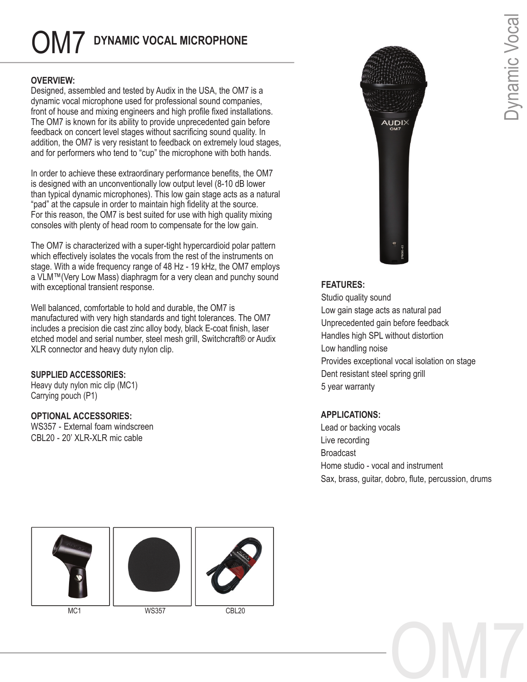# OM7 **DYNAMIC VOCAL MICROPHONE**

# **OVERVIEW:**

Designed, assembled and tested by Audix in the USA, the OM7 is a dynamic vocal microphone used for professional sound companies, front of house and mixing engineers and high profile fixed installations. The OM7 is known for its ability to provide unprecedented gain before feedback on concert level stages without sacrificing sound quality. In addition, the OM7 is very resistant to feedback on extremely loud stages, and for performers who tend to "cup" the microphone with both hands.

In order to achieve these extraordinary performance benefits, the OM7 is designed with an unconventionally low output level (8-10 dB lower than typical dynamic microphones). This low gain stage acts as a natural "pad" at the capsule in order to maintain high fidelity at the source. For this reason, the OM7 is best suited for use with high quality mixing consoles with plenty of head room to compensate for the low gain.

The OM7 is characterized with a super-tight hypercardioid polar pattern which effectively isolates the vocals from the rest of the instruments on stage. With a wide frequency range of 48 Hz - 19 kHz, the OM7 employs a VLM™(Very Low Mass) diaphragm for a very clean and punchy sound with exceptional transient response.

Well balanced, comfortable to hold and durable, the OM7 is manufactured with very high standards and tight tolerances. The OM7 includes a precision die cast zinc alloy body, black E-coat finish, laser etched model and serial number, steel mesh grill, Switchcraft® or Audix XLR connector and heavy duty nylon clip.

## **SUPPLIED ACCESSORIES:**

Heavy duty nylon mic clip (MC1) Carrying pouch (P1)

## **OPTIONAL ACCESSORIES:**

WS357 - External foam windscreen CBL20 - 20' XLR-XLR mic cable







MC1 WS357 CBL20



# **FEATURES:**

Studio quality sound Low gain stage acts as natural pad Unprecedented gain before feedback Handles high SPL without distortion Low handling noise Provides exceptional vocal isolation on stage Dent resistant steel spring grill 5 year warranty

# **APPLICATIONS:**

Lead or backing vocals Live recording Broadcast Home studio - vocal and instrument Sax, brass, guitar, dobro, flute, percussion, drums